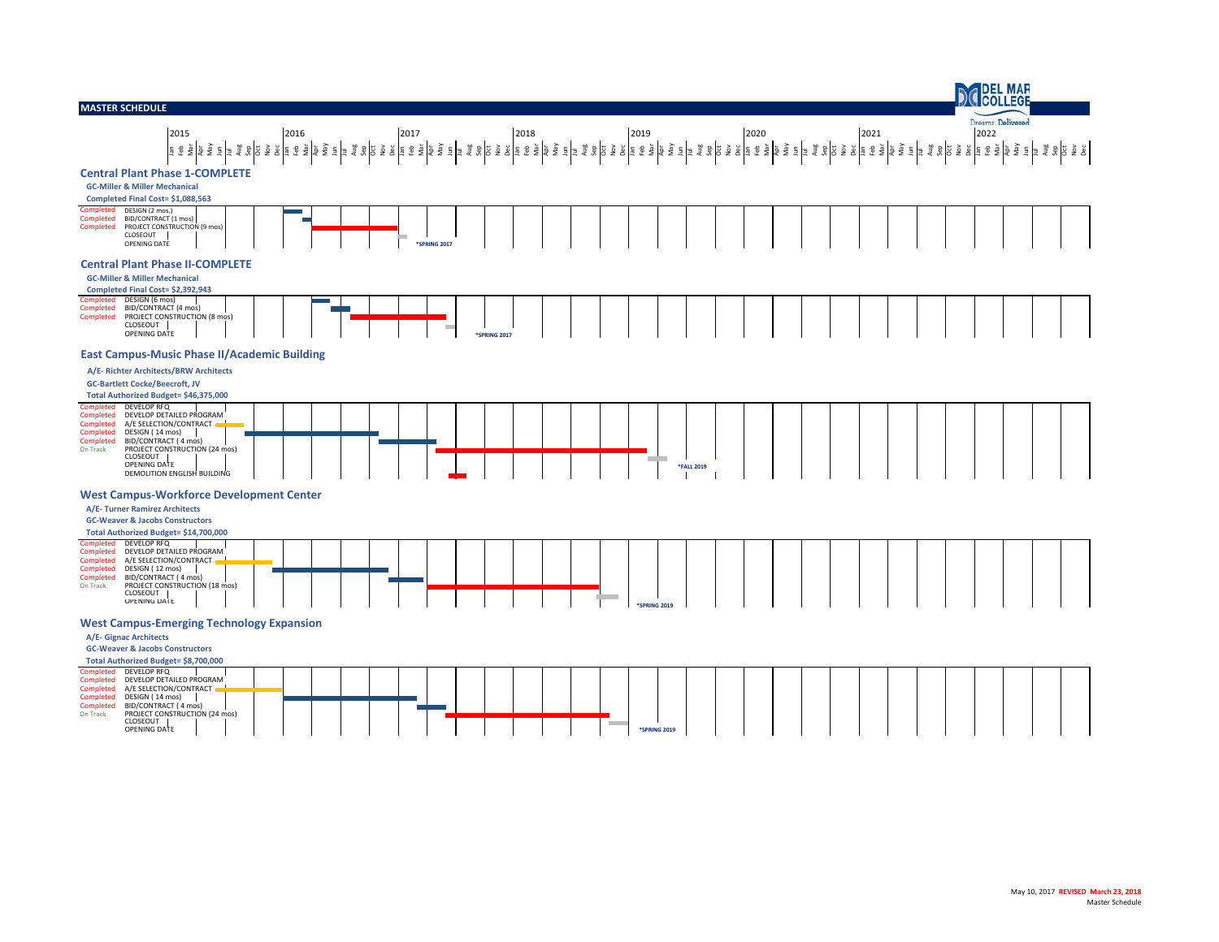